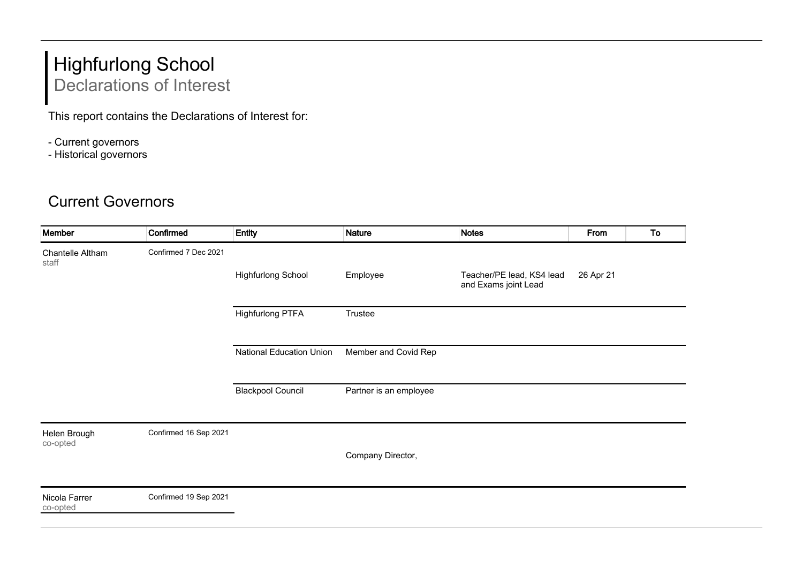## Highfurlong School Declarations of Interest

This report contains the Declarations of Interest for:

- Current governors
- Historical governors

## Current Governors

| Member                    | Confirmed             | <b>Entity</b>                   | Nature                 | <b>Notes</b>                                      | From      | To |
|---------------------------|-----------------------|---------------------------------|------------------------|---------------------------------------------------|-----------|----|
| Chantelle Altham<br>staff | Confirmed 7 Dec 2021  |                                 |                        |                                                   |           |    |
|                           |                       | <b>Highfurlong School</b>       | Employee               | Teacher/PE lead, KS4 lead<br>and Exams joint Lead | 26 Apr 21 |    |
|                           |                       | <b>Highfurlong PTFA</b>         | Trustee                |                                                   |           |    |
|                           |                       | <b>National Education Union</b> | Member and Covid Rep   |                                                   |           |    |
|                           |                       | <b>Blackpool Council</b>        | Partner is an employee |                                                   |           |    |
| Helen Brough<br>co-opted  | Confirmed 16 Sep 2021 |                                 |                        |                                                   |           |    |
|                           |                       |                                 | Company Director,      |                                                   |           |    |
| Nicola Farrer<br>co-opted | Confirmed 19 Sep 2021 |                                 |                        |                                                   |           |    |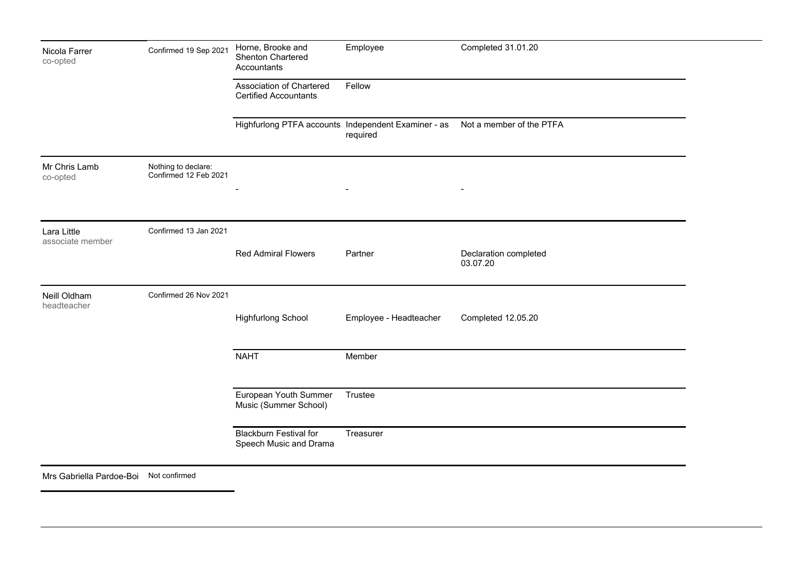| Nicola Farrer<br>co-opted              | Confirmed 19 Sep 2021                        | Horne, Brooke and<br>Shenton Chartered<br>Accountants    | Employee                                                        | Completed 31.01.20                |
|----------------------------------------|----------------------------------------------|----------------------------------------------------------|-----------------------------------------------------------------|-----------------------------------|
|                                        |                                              | Association of Chartered<br><b>Certified Accountants</b> | Fellow                                                          |                                   |
|                                        |                                              |                                                          | Highfurlong PTFA accounts Independent Examiner - as<br>required | Not a member of the PTFA          |
| Mr Chris Lamb<br>co-opted              | Nothing to declare:<br>Confirmed 12 Feb 2021 |                                                          |                                                                 |                                   |
|                                        |                                              |                                                          |                                                                 |                                   |
| Lara Little<br>associate member        | Confirmed 13 Jan 2021                        | <b>Red Admiral Flowers</b>                               | Partner                                                         | Declaration completed<br>03.07.20 |
| Neill Oldham<br>headteacher            | Confirmed 26 Nov 2021                        | <b>Highfurlong School</b>                                | Employee - Headteacher                                          | Completed 12.05.20                |
|                                        |                                              | <b>NAHT</b>                                              | Member                                                          |                                   |
|                                        |                                              | European Youth Summer<br>Music (Summer School)           | Trustee                                                         |                                   |
|                                        |                                              | <b>Blackburn Festival for</b><br>Speech Music and Drama  | Treasurer                                                       |                                   |
| Mrs Gabriella Pardoe-Boi Not confirmed |                                              |                                                          |                                                                 |                                   |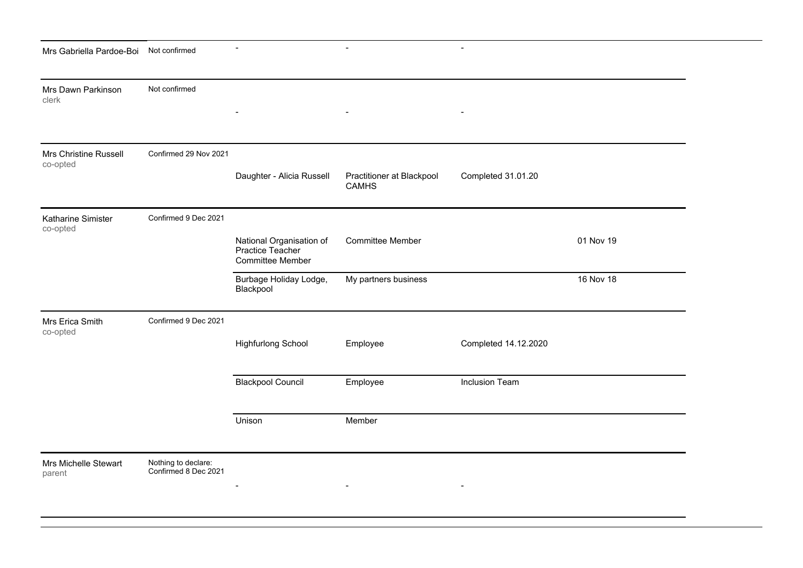| Mrs Gabriella Pardoe-Boi          | Not confirmed                               |                                                                         | $\blacksquare$                            | $\blacksquare$       |           |
|-----------------------------------|---------------------------------------------|-------------------------------------------------------------------------|-------------------------------------------|----------------------|-----------|
| Mrs Dawn Parkinson<br>clerk       | Not confirmed                               |                                                                         |                                           |                      |           |
| Mrs Christine Russell<br>co-opted | Confirmed 29 Nov 2021                       | Daughter - Alicia Russell                                               | Practitioner at Blackpool<br><b>CAMHS</b> | Completed 31.01.20   |           |
| Katharine Simister<br>co-opted    | Confirmed 9 Dec 2021                        | National Organisation of<br>Practice Teacher<br><b>Committee Member</b> | <b>Committee Member</b>                   |                      | 01 Nov 19 |
|                                   |                                             | Burbage Holiday Lodge,<br>Blackpool                                     | My partners business                      |                      | 16 Nov 18 |
| Mrs Erica Smith<br>co-opted       | Confirmed 9 Dec 2021                        |                                                                         |                                           |                      |           |
|                                   |                                             | <b>Highfurlong School</b>                                               | Employee                                  | Completed 14.12.2020 |           |
|                                   |                                             | <b>Blackpool Council</b>                                                | Employee                                  | Inclusion Team       |           |
|                                   |                                             | Unison                                                                  | Member                                    |                      |           |
| Mrs Michelle Stewart<br>parent    | Nothing to declare:<br>Confirmed 8 Dec 2021 |                                                                         |                                           |                      |           |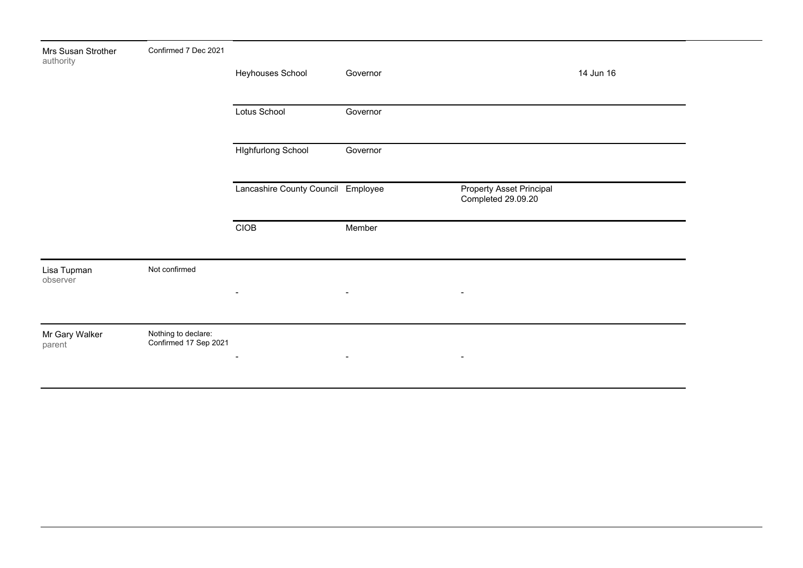|                                              | Heyhouses School          | Governor       |                                                      | 14 Jun 16      |
|----------------------------------------------|---------------------------|----------------|------------------------------------------------------|----------------|
|                                              | Lotus School              | Governor       |                                                      |                |
|                                              | <b>Highfurlong School</b> | Governor       |                                                      |                |
|                                              |                           |                | Property Asset Principal<br>Completed 29.09.20       |                |
|                                              | CIOB                      | Member         |                                                      |                |
| Not confirmed                                |                           |                |                                                      |                |
|                                              | $\blacksquare$            | $\blacksquare$ | $\blacksquare$                                       |                |
| Nothing to declare:<br>Confirmed 17 Sep 2021 |                           |                |                                                      |                |
|                                              |                           | $\blacksquare$ | Lancashire County Council Employee<br>$\blacksquare$ | $\blacksquare$ |